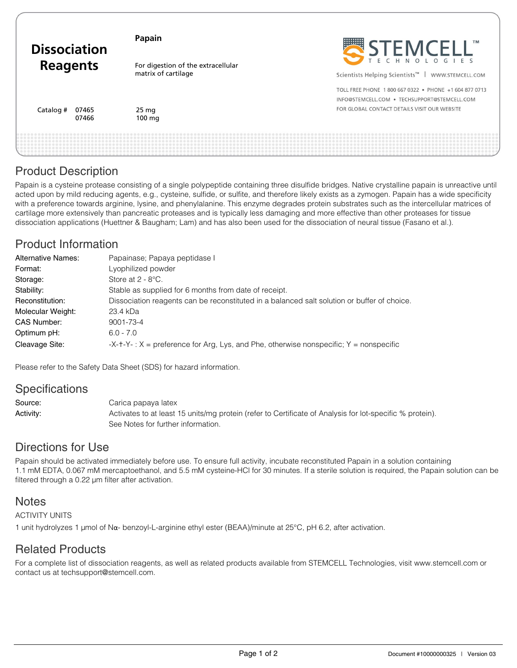| <b>Dissociation</b><br><b>Reagents</b> | Papain                                                    | STEMCELL"                                                                                             |
|----------------------------------------|-----------------------------------------------------------|-------------------------------------------------------------------------------------------------------|
|                                        | For digestion of the extracellular<br>matrix of cartilage | Scientists Helping Scientists™<br>WWW.STEMCELL.COM                                                    |
|                                        |                                                           | TOLL FREE PHONE 1800 667 0322 . PHONE +1 604 877 0713<br>INFO@STEMCELL.COM . TECHSUPPORT@STEMCELL.COM |
| Catalog #<br>07465<br>07466            | 25 mg<br>$100 \text{ mg}$                                 | FOR GLOBAL CONTACT DETAILS VISIT OUR WEBSITE                                                          |
|                                        |                                                           |                                                                                                       |

# Product Description

Papain is a cysteine protease consisting of a single polypeptide containing three disulfide bridges. Native crystalline papain is unreactive until acted upon by mild reducing agents, e.g., cysteine, sulfide, or sulfite, and therefore likely exists as a zymogen. Papain has a wide specificity with a preference towards arginine, lysine, and phenylalanine. This enzyme degrades protein substrates such as the intercellular matrices of cartilage more extensively than pancreatic proteases and is typically less damaging and more effective than other proteases for tissue dissociation applications (Huettner & Baugham; Lam) and has also been used for the dissociation of neural tissue (Fasano et al.).

# Product Information

| <b>Alternative Names:</b> | Papainase; Papaya peptidase I                                                               |  |
|---------------------------|---------------------------------------------------------------------------------------------|--|
| Format:                   | Lyophilized powder                                                                          |  |
| Storage:                  | Store at $2 - 8$ °C.                                                                        |  |
| Stability:                | Stable as supplied for 6 months from date of receipt.                                       |  |
| Reconstitution:           | Dissociation reagents can be reconstituted in a balanced salt solution or buffer of choice. |  |
| Molecular Weight:         | 23.4 kDa                                                                                    |  |
| CAS Number:               | 9001-73-4                                                                                   |  |
| Optimum pH:               | $6.0 - 7.0$                                                                                 |  |
| Cleavage Site:            | $-X-t-Y$ : $X =$ preference for Arg, Lys, and Phe, otherwise nonspecific; $Y =$ nonspecific |  |

Please refer to the Safety Data Sheet (SDS) for hazard information.

### **Specifications**

Source: Carica papaya latex Activity: Activates to at least 15 units/mg protein (refer to Certificate of Analysis for lot-specific % protein). See Notes for further information.

### Directions for Use

Papain should be activated immediately before use. To ensure full activity, incubate reconstituted Papain in a solution containing 1.1 mM EDTA, 0.067 mM mercaptoethanol, and 5.5 mM cysteine-HCl for 30 minutes. If a sterile solution is required, the Papain solution can be filtered through a 0.22 μm filter after activation.

### **Notes**

ACTIVITY UNITS

1 unit hydrolyzes 1 µmol of Nα- benzoyl-L-arginine ethyl ester (BEAA)/minute at 25°C, pH 6.2, after activation.

# Related Products

For a complete list of dissociation reagents, as well as related products available from STEMCELL Technologies, visit www.stemcell.com or contact us at techsupport@stemcell.com.